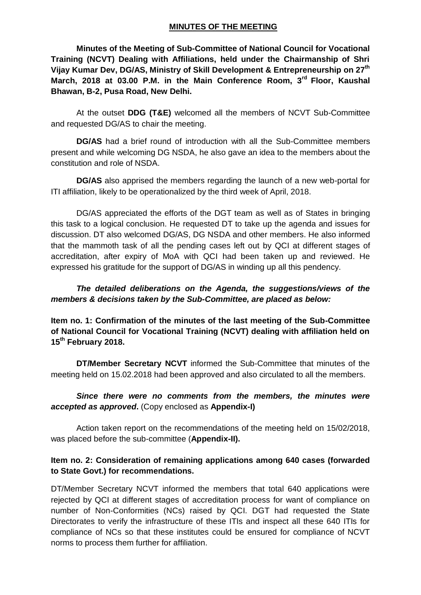#### **MINUTES OF THE MEETING**

**Minutes of the Meeting of Sub-Committee of National Council for Vocational Training (NCVT) Dealing with Affiliations, held under the Chairmanship of Shri Vijay Kumar Dev, DG/AS, Ministry of Skill Development & Entrepreneurship on 27th March, 2018 at 03.00 P.M. in the Main Conference Room, 3rd Floor, Kaushal Bhawan, B-2, Pusa Road, New Delhi.**

At the outset **DDG (T&E)** welcomed all the members of NCVT Sub-Committee and requested DG/AS to chair the meeting.

**DG/AS** had a brief round of introduction with all the Sub-Committee members present and while welcoming DG NSDA, he also gave an idea to the members about the constitution and role of NSDA.

**DG/AS** also apprised the members regarding the launch of a new web-portal for ITI affiliation, likely to be operationalized by the third week of April, 2018.

DG/AS appreciated the efforts of the DGT team as well as of States in bringing this task to a logical conclusion. He requested DT to take up the agenda and issues for discussion. DT also welcomed DG/AS, DG NSDA and other members. He also informed that the mammoth task of all the pending cases left out by QCI at different stages of accreditation, after expiry of MoA with QCI had been taken up and reviewed. He expressed his gratitude for the support of DG/AS in winding up all this pendency.

### *The detailed deliberations on the Agenda, the suggestions/views of the members & decisions taken by the Sub-Committee, are placed as below:*

**Item no. 1: Confirmation of the minutes of the last meeting of the Sub-Committee of National Council for Vocational Training (NCVT) dealing with affiliation held on 15th February 2018.**

**DT/Member Secretary NCVT** informed the Sub-Committee that minutes of the meeting held on 15.02.2018 had been approved and also circulated to all the members.

### *Since there were no comments from the members, the minutes were accepted as approved***.** (Copy enclosed as **Appendix-I)**

Action taken report on the recommendations of the meeting held on 15/02/2018, was placed before the sub-committee (**Appendix-II).**

#### **Item no. 2: Consideration of remaining applications among 640 cases (forwarded to State Govt.) for recommendations.**

DT/Member Secretary NCVT informed the members that total 640 applications were rejected by QCI at different stages of accreditation process for want of compliance on number of Non-Conformities (NCs) raised by QCI. DGT had requested the State Directorates to verify the infrastructure of these ITIs and inspect all these 640 ITIs for compliance of NCs so that these institutes could be ensured for compliance of NCVT norms to process them further for affiliation.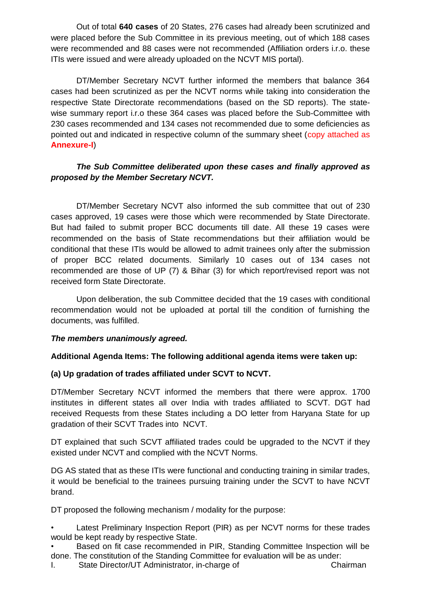Out of total **640 cases** of 20 States, 276 cases had already been scrutinized and were placed before the Sub Committee in its previous meeting, out of which 188 cases were recommended and 88 cases were not recommended (Affiliation orders i.r.o. these ITIs were issued and were already uploaded on the NCVT MIS portal).

DT/Member Secretary NCVT further informed the members that balance 364 cases had been scrutinized as per the NCVT norms while taking into consideration the respective State Directorate recommendations (based on the SD reports). The statewise summary report i.r.o these 364 cases was placed before the Sub-Committee with 230 cases recommended and 134 cases not recommended due to some deficiencies as pointed out and indicated in respective column of the summary sheet (copy attached as **Annexure-I**)

## *The Sub Committee deliberated upon these cases and finally approved as proposed by the Member Secretary NCVT.*

DT/Member Secretary NCVT also informed the sub committee that out of 230 cases approved, 19 cases were those which were recommended by State Directorate. But had failed to submit proper BCC documents till date. All these 19 cases were recommended on the basis of State recommendations but their affiliation would be conditional that these ITIs would be allowed to admit trainees only after the submission of proper BCC related documents. Similarly 10 cases out of 134 cases not recommended are those of UP (7) & Bihar (3) for which report/revised report was not received form State Directorate.

Upon deliberation, the sub Committee decided that the 19 cases with conditional recommendation would not be uploaded at portal till the condition of furnishing the documents, was fulfilled.

#### *The members unanimously agreed.*

#### **Additional Agenda Items: The following additional agenda items were taken up:**

#### **(a) Up gradation of trades affiliated under SCVT to NCVT.**

DT/Member Secretary NCVT informed the members that there were approx. 1700 institutes in different states all over India with trades affiliated to SCVT. DGT had received Requests from these States including a DO letter from Haryana State for up gradation of their SCVT Trades into NCVT.

DT explained that such SCVT affiliated trades could be upgraded to the NCVT if they existed under NCVT and complied with the NCVT Norms.

DG AS stated that as these ITIs were functional and conducting training in similar trades, it would be beneficial to the trainees pursuing training under the SCVT to have NCVT brand.

DT proposed the following mechanism / modality for the purpose:

Latest Preliminary Inspection Report (PIR) as per NCVT norms for these trades would be kept ready by respective State.

• Based on fit case recommended in PIR, Standing Committee Inspection will be done. The constitution of the Standing Committee for evaluation will be as under:

I. State Director/UT Administrator, in-charge of Chairman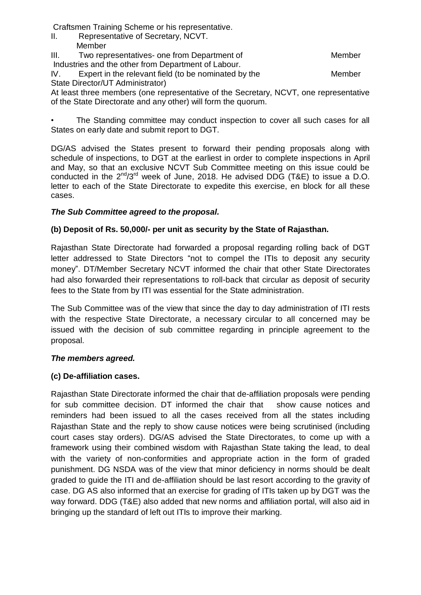Craftsmen Training Scheme or his representative.

- II. Representative of Secretary, NCVT.
- **Member** III. Two representatives- one from Department of Theorem Member Industries and the other from Department of Labour.

IV. Expert in the relevant field (to be nominated by the Member State Director/UT Administrator)

At least three members (one representative of the Secretary, NCVT, one representative of the State Directorate and any other) will form the quorum.

The Standing committee may conduct inspection to cover all such cases for all States on early date and submit report to DGT.

DG/AS advised the States present to forward their pending proposals along with schedule of inspections, to DGT at the earliest in order to complete inspections in April and May, so that an exclusive NCVT Sub Committee meeting on this issue could be conducted in the  $2^{nd}/3^{rd}$  week of June, 2018. He advised DDG (T&E) to issue a D.O. letter to each of the State Directorate to expedite this exercise, en block for all these cases.

# *The Sub Committee agreed to the proposal.*

# **(b) Deposit of Rs. 50,000/- per unit as security by the State of Rajasthan.**

Rajasthan State Directorate had forwarded a proposal regarding rolling back of DGT letter addressed to State Directors "not to compel the ITIs to deposit any security money". DT/Member Secretary NCVT informed the chair that other State Directorates had also forwarded their representations to roll-back that circular as deposit of security fees to the State from by ITI was essential for the State administration.

The Sub Committee was of the view that since the day to day administration of ITI rests with the respective State Directorate, a necessary circular to all concerned may be issued with the decision of sub committee regarding in principle agreement to the proposal.

## *The members agreed.*

## **(c) De-affiliation cases.**

Rajasthan State Directorate informed the chair that de-affiliation proposals were pending for sub committee decision. DT informed the chair that show cause notices and reminders had been issued to all the cases received from all the states including Rajasthan State and the reply to show cause notices were being scrutinised (including court cases stay orders). DG/AS advised the State Directorates, to come up with a framework using their combined wisdom with Rajasthan State taking the lead, to deal with the variety of non-conformities and appropriate action in the form of graded punishment. DG NSDA was of the view that minor deficiency in norms should be dealt graded to guide the ITI and de-affiliation should be last resort according to the gravity of case. DG AS also informed that an exercise for grading of ITIs taken up by DGT was the way forward. DDG (T&E) also added that new norms and affiliation portal, will also aid in bringing up the standard of left out ITIs to improve their marking.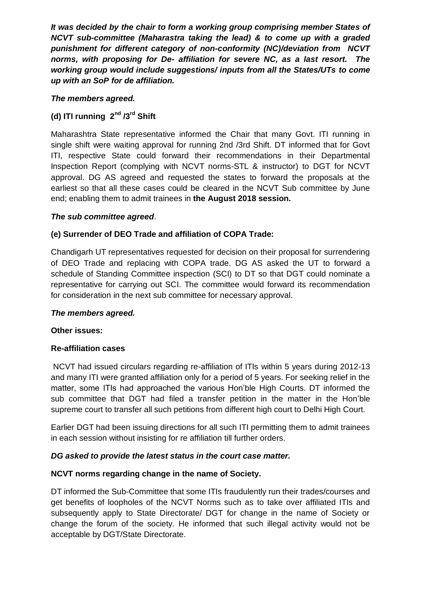*It was decided by the chair to form a working group comprising member States of NCVT sub-committee (Maharastra taking the lead) & to come up with a graded punishment for different category of non-conformity (NC)/deviation from NCVT norms, with proposing for De- affiliation for severe NC, as a last resort. The working group would include suggestions/ inputs from all the States/UTs to come up with an SoP for de affiliation.*

#### *The members agreed.*

# **(d) ITI running 2nd /3rd Shift**

Maharashtra State representative informed the Chair that many Govt. ITI running in single shift were waiting approval for running 2nd /3rd Shift. DT informed that for Govt ITI, respective State could forward their recommendations in their Departmental Inspection Report (complying with NCVT norms-STL & instructor) to DGT for NCVT approval. DG AS agreed and requested the states to forward the proposals at the earliest so that all these cases could be cleared in the NCVT Sub committee by June end; enabling them to admit trainees in **the August 2018 session.** 

#### *The sub committee agreed*.

#### **(e) Surrender of DEO Trade and affiliation of COPA Trade:**

Chandigarh UT representatives requested for decision on their proposal for surrendering of DEO Trade and replacing with COPA trade. DG AS asked the UT to forward a schedule of Standing Committee inspection (SCI) to DT so that DGT could nominate a representative for carrying out SCI. The committee would forward its recommendation for consideration in the next sub committee for necessary approval.

#### *The members agreed.*

#### **Other issues:**

#### **Re-affiliation cases**

NCVT had issued circulars regarding re-affiliation of ITIs within 5 years during 2012-13 and many ITI were granted affiliation only for a period of 5 years. For seeking relief in the matter, some ITIs had approached the various Hon'ble High Courts. DT informed the sub committee that DGT had filed a transfer petition in the matter in the Hon'ble supreme court to transfer all such petitions from different high court to Delhi High Court.

Earlier DGT had been issuing directions for all such ITI permitting them to admit trainees in each session without insisting for re affiliation till further orders.

#### *DG asked to provide the latest status in the court case matter.*

#### **NCVT norms regarding change in the name of Society.**

DT informed the Sub-Committee that some ITIs fraudulently run their trades/courses and get benefits of loopholes of the NCVT Norms such as to take over affiliated ITIs and subsequently apply to State Directorate/ DGT for change in the name of Society or change the forum of the society. He informed that such illegal activity would not be acceptable by DGT/State Directorate.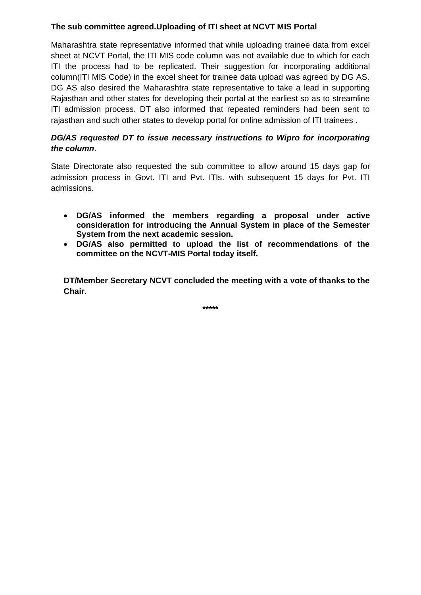### **The sub committee agreed.Uploading of ITI sheet at NCVT MIS Portal**

Maharashtra state representative informed that while uploading trainee data from excel sheet at NCVT Portal, the ITI MIS code column was not available due to which for each ITI the process had to be replicated. Their suggestion for incorporating additional column(ITI MIS Code) in the excel sheet for trainee data upload was agreed by DG AS. DG AS also desired the Maharashtra state representative to take a lead in supporting Rajasthan and other states for developing their portal at the earliest so as to streamline ITI admission process. DT also informed that repeated reminders had been sent to rajasthan and such other states to develop portal for online admission of ITI trainees .

## *DG/AS requested DT to issue necessary instructions to Wipro for incorporating the column*.

State Directorate also requested the sub committee to allow around 15 days gap for admission process in Govt. ITI and Pvt. ITIs. with subsequent 15 days for Pvt. ITI admissions.

- **DG/AS informed the members regarding a proposal under active consideration for introducing the Annual System in place of the Semester System from the next academic session.**
- **DG/AS also permitted to upload the list of recommendations of the committee on the NCVT-MIS Portal today itself.**

**DT/Member Secretary NCVT concluded the meeting with a vote of thanks to the Chair.**

**\*\*\*\*\***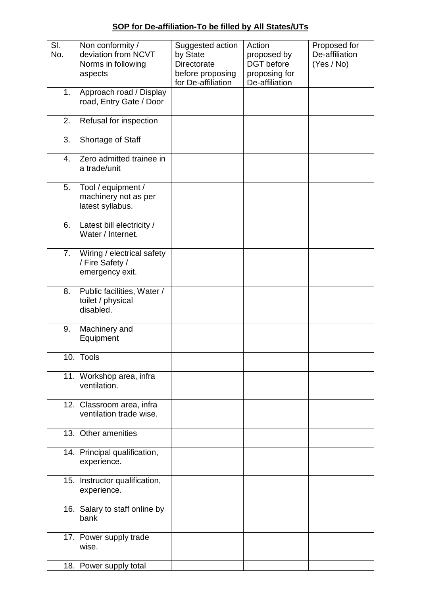**SOP for De-affiliation-To be filled by All States/UTs**

| SI.<br>No. | Non conformity /<br>deviation from NCVT<br>Norms in following<br>aspects | Suggested action<br>by State<br><b>Directorate</b><br>before proposing<br>for De-affiliation | Action<br>proposed by<br>DGT before<br>proposing for<br>De-affiliation | Proposed for<br>De-affiliation<br>(Yes / No) |
|------------|--------------------------------------------------------------------------|----------------------------------------------------------------------------------------------|------------------------------------------------------------------------|----------------------------------------------|
| 1.         | Approach road / Display<br>road, Entry Gate / Door                       |                                                                                              |                                                                        |                                              |
| 2.         | Refusal for inspection                                                   |                                                                                              |                                                                        |                                              |
| 3.         | Shortage of Staff                                                        |                                                                                              |                                                                        |                                              |
| 4.         | Zero admitted trainee in<br>a trade/unit                                 |                                                                                              |                                                                        |                                              |
| 5.         | Tool / equipment /<br>machinery not as per<br>latest syllabus.           |                                                                                              |                                                                        |                                              |
| 6.         | Latest bill electricity /<br>Water / Internet.                           |                                                                                              |                                                                        |                                              |
| 7.         | Wiring / electrical safety<br>/ Fire Safety /<br>emergency exit.         |                                                                                              |                                                                        |                                              |
| 8.         | Public facilities, Water /<br>toilet / physical<br>disabled.             |                                                                                              |                                                                        |                                              |
| 9.         | Machinery and<br>Equipment                                               |                                                                                              |                                                                        |                                              |
|            | 10. Tools                                                                |                                                                                              |                                                                        |                                              |
|            | 11. Workshop area, infra<br>ventilation.                                 |                                                                                              |                                                                        |                                              |
| 12.1       | Classroom area, infra<br>ventilation trade wise.                         |                                                                                              |                                                                        |                                              |
| 13.1       | Other amenities                                                          |                                                                                              |                                                                        |                                              |
|            | 14. Principal qualification,<br>experience.                              |                                                                                              |                                                                        |                                              |
| 15.1       | Instructor qualification,<br>experience.                                 |                                                                                              |                                                                        |                                              |
|            | 16. Salary to staff online by<br>bank                                    |                                                                                              |                                                                        |                                              |
|            | 17. Power supply trade<br>wise.                                          |                                                                                              |                                                                        |                                              |
|            | 18. Power supply total                                                   |                                                                                              |                                                                        |                                              |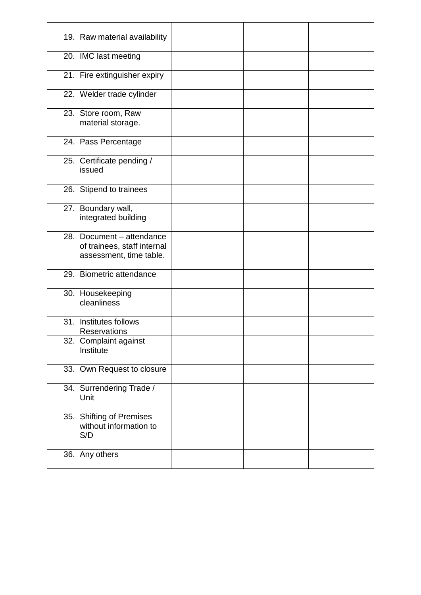|      | 19. Raw material availability                                                   |  |  |
|------|---------------------------------------------------------------------------------|--|--|
|      | 20. IMC last meeting                                                            |  |  |
|      | 21. Fire extinguisher expiry                                                    |  |  |
|      | 22. Welder trade cylinder                                                       |  |  |
| 23.  | Store room, Raw<br>material storage.                                            |  |  |
|      | 24. Pass Percentage                                                             |  |  |
| 25.  | Certificate pending /<br>issued                                                 |  |  |
| 26.1 | Stipend to trainees                                                             |  |  |
| 27.  | Boundary wall,<br>integrated building                                           |  |  |
| 28.  | Document - attendance<br>of trainees, staff internal<br>assessment, time table. |  |  |
| 29.  | <b>Biometric attendance</b>                                                     |  |  |
|      | 30. Housekeeping<br>cleanliness                                                 |  |  |
| 31.  | Institutes follows<br><b>Reservations</b>                                       |  |  |
|      | 32. Complaint against<br>Institute                                              |  |  |
|      | 33. Own Request to closure                                                      |  |  |
| 34.  | Surrendering Trade /<br>Unit                                                    |  |  |
| 35.  | <b>Shifting of Premises</b><br>without information to<br>S/D                    |  |  |
| 36.  | Any others                                                                      |  |  |